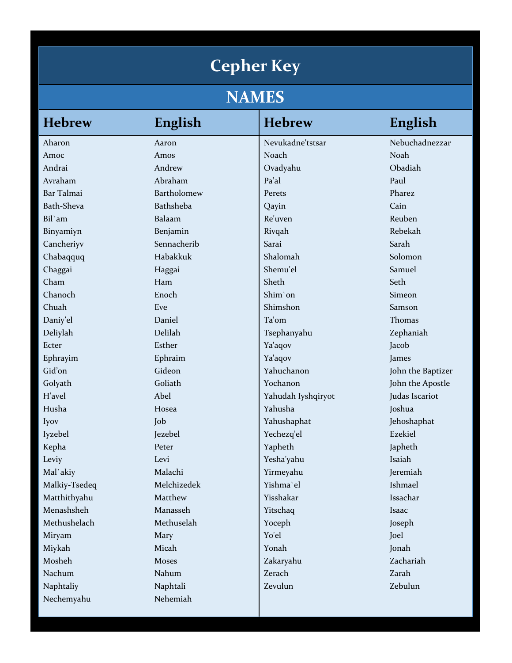## **Cepher Key**

## **NAMES**

| <b>Hebrew</b>     | English     | <b>Hebrew</b>      | English           |
|-------------------|-------------|--------------------|-------------------|
| Aharon            | Aaron       | Nevukadne'tstsar   | Nebuchadnezzar    |
| Amoc              | Amos        | Noach              | Noah              |
| Andrai            | Andrew      | Ovadyahu           | Obadiah           |
| Avraham           | Abraham     | Pa'al              | Paul              |
| Bar Talmai        | Bartholomew | Perets             | Pharez            |
| <b>Bath-Sheva</b> | Bathsheba   | Qayin              | Cain              |
| Bil'am            | Balaam      | Re'uven            | Reuben            |
| Binyamiyn         | Benjamin    | Rivqah             | Rebekah           |
| Cancheriyv        | Sennacherib | Sarai              | Sarah             |
| Chabaqquq         | Habakkuk    | Shalomah           | Solomon           |
| Chaggai           | Haggai      | Shemu'el           | Samuel            |
| Cham              | Ham         | Sheth              | Seth              |
| Chanoch           | Enoch       | Shim'on            | Simeon            |
| Chuah             | Eve         | Shimshon           | Samson            |
| Daniy'el          | Daniel      | Ta'om              | Thomas            |
| Deliylah          | Delilah     | Tsephanyahu        | Zephaniah         |
| Ecter             | Esther      | Ya'aqov            | Jacob             |
| Ephrayim          | Ephraim     | Ya'aqov            | James             |
| Gid'on            | Gideon      | Yahuchanon         | John the Baptizer |
| Golyath           | Goliath     | Yochanon           | John the Apostle  |
| H'avel            | Abel        | Yahudah Iyshqiryot | Judas Iscariot    |
| Husha             | Hosea       | Yahusha            | Joshua            |
| Iyov              | Job         | Yahushaphat        | Jehoshaphat       |
| Iyzebel           | Jezebel     | Yechezq'el         | Ezekiel           |
| Kepha             | Peter       | Yapheth            | Japheth           |
| Leviy             | Levi        | Yesha'yahu         | Isaiah            |
| Mal'akiy          | Malachi     | Yirmeyahu          | Jeremiah          |
| Malkiy-Tsedeq     | Melchizedek | Yishma'el          | Ishmael           |
| Matthithyahu      | Matthew     | Yisshakar          | Issachar          |
| Menashsheh        | Manasseh    | Yitschaq           | Isaac             |
| Methushelach      | Methuselah  | Yoceph             | Joseph            |
| Miryam            | Mary        | Yo'el              | Joel              |
| Miykah            | Micah       | Yonah              | Jonah             |
| Mosheh            | Moses       | Zakaryahu          | Zachariah         |
| Nachum            | Nahum       | Zerach             | Zarah             |
| Naphtaliy         | Naphtali    | Zevulun            | Zebulun           |
| Nechemyahu        | Nehemiah    |                    |                   |